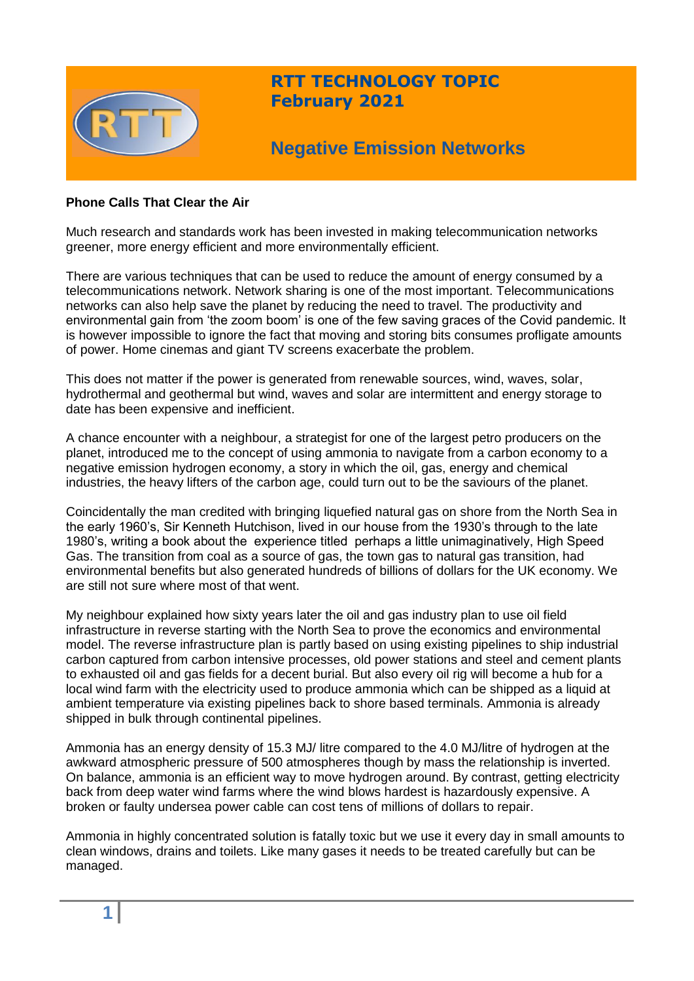

# **RTT TECHNOLOGY TOPIC February 2021**

# **Negative Emission Networks**

# **Phone Calls That Clear the Air**

Much research and standards work has been invested in making telecommunication networks greener, more energy efficient and more environmentally efficient.

There are various techniques that can be used to reduce the amount of energy consumed by a telecommunications network. Network sharing is one of the most important. Telecommunications networks can also help save the planet by reducing the need to travel. The productivity and environmental gain from 'the zoom boom' is one of the few saving graces of the Covid pandemic. It is however impossible to ignore the fact that moving and storing bits consumes profligate amounts of power. Home cinemas and giant TV screens exacerbate the problem.

This does not matter if the power is generated from renewable sources, wind, waves, solar, hydrothermal and geothermal but wind, waves and solar are intermittent and energy storage to date has been expensive and inefficient.

A chance encounter with a neighbour, a strategist for one of the largest petro producers on the planet, introduced me to the concept of using ammonia to navigate from a carbon economy to a negative emission hydrogen economy, a story in which the oil, gas, energy and chemical industries, the heavy lifters of the carbon age, could turn out to be the saviours of the planet.

Coincidentally the man credited with bringing liquefied natural gas on shore from the North Sea in the early 1960's, Sir Kenneth Hutchison, lived in our house from the 1930's through to the late 1980's, writing a book about the experience titled perhaps a little unimaginatively, High Speed Gas. The transition from coal as a source of gas, the town gas to natural gas transition, had environmental benefits but also generated hundreds of billions of dollars for the UK economy. We are still not sure where most of that went.

My neighbour explained how sixty years later the oil and gas industry plan to use oil field infrastructure in reverse starting with the North Sea to prove the economics and environmental model. The reverse infrastructure plan is partly based on using existing pipelines to ship industrial carbon captured from carbon intensive processes, old power stations and steel and cement plants to exhausted oil and gas fields for a decent burial. But also every oil rig will become a hub for a local wind farm with the electricity used to produce ammonia which can be shipped as a liquid at ambient temperature via existing pipelines back to shore based terminals. Ammonia is already shipped in bulk through continental pipelines.

Ammonia has an energy density of 15.3 MJ/ litre compared to the 4.0 MJ/litre of hydrogen at the awkward atmospheric pressure of 500 atmospheres though by mass the relationship is inverted. On balance, ammonia is an efficient way to move hydrogen around. By contrast, getting electricity back from deep water wind farms where the wind blows hardest is hazardously expensive. A broken or faulty undersea power cable can cost tens of millions of dollars to repair.

Ammonia in highly concentrated solution is fatally toxic but we use it every day in small amounts to clean windows, drains and toilets. Like many gases it needs to be treated carefully but can be managed.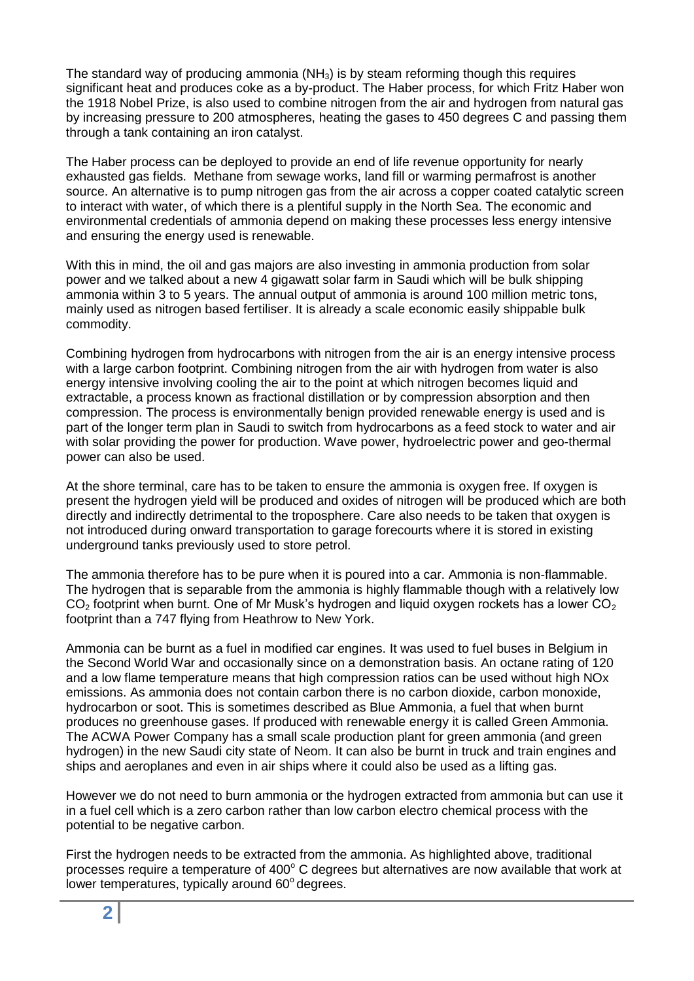The standard way of producing ammonia  $(NH_3)$  is by steam reforming though this requires significant heat and produces coke as a by-product. The Haber process, for which Fritz Haber won the 1918 Nobel Prize, is also used to combine nitrogen from the air and hydrogen from natural gas by increasing pressure to 200 atmospheres, heating the gases to 450 degrees C and passing them through a tank containing an iron catalyst.

The Haber process can be deployed to provide an end of life revenue opportunity for nearly exhausted gas fields. Methane from sewage works, land fill or warming permafrost is another source. An alternative is to pump nitrogen gas from the air across a copper coated catalytic screen to interact with water, of which there is a plentiful supply in the North Sea. The economic and environmental credentials of ammonia depend on making these processes less energy intensive and ensuring the energy used is renewable.

With this in mind, the oil and gas majors are also investing in ammonia production from solar power and we talked about a new 4 gigawatt solar farm in Saudi which will be bulk shipping ammonia within 3 to 5 years. The annual output of ammonia is around 100 million metric tons, mainly used as nitrogen based fertiliser. It is already a scale economic easily shippable bulk commodity.

Combining hydrogen from hydrocarbons with nitrogen from the air is an energy intensive process with a large carbon footprint. Combining nitrogen from the air with hydrogen from water is also energy intensive involving cooling the air to the point at which nitrogen becomes liquid and extractable, a process known as fractional distillation or by compression absorption and then compression. The process is environmentally benign provided renewable energy is used and is part of the longer term plan in Saudi to switch from hydrocarbons as a feed stock to water and air with solar providing the power for production. Wave power, hydroelectric power and geo-thermal power can also be used.

At the shore terminal, care has to be taken to ensure the ammonia is oxygen free. If oxygen is present the hydrogen yield will be produced and oxides of nitrogen will be produced which are both directly and indirectly detrimental to the troposphere. Care also needs to be taken that oxygen is not introduced during onward transportation to garage forecourts where it is stored in existing underground tanks previously used to store petrol.

The ammonia therefore has to be pure when it is poured into a car. Ammonia is non-flammable. The hydrogen that is separable from the ammonia is highly flammable though with a relatively low  $CO<sub>2</sub>$  footprint when burnt. One of Mr Musk's hydrogen and liquid oxygen rockets has a lower  $CO<sub>2</sub>$ footprint than a 747 flying from Heathrow to New York.

Ammonia can be burnt as a fuel in modified car engines. It was used to fuel buses in Belgium in the Second World War and occasionally since on a demonstration basis. An octane rating of 120 and a low flame temperature means that high compression ratios can be used without high NOx emissions. As ammonia does not contain carbon there is no carbon dioxide, carbon monoxide, hydrocarbon or soot. This is sometimes described as Blue Ammonia, a fuel that when burnt produces no greenhouse gases. If produced with renewable energy it is called Green Ammonia. The ACWA Power Company has a small scale production plant for green ammonia (and green hydrogen) in the new Saudi city state of Neom. It can also be burnt in truck and train engines and ships and aeroplanes and even in air ships where it could also be used as a lifting gas.

However we do not need to burn ammonia or the hydrogen extracted from ammonia but can use it in a fuel cell which is a zero carbon rather than low carbon electro chemical process with the potential to be negative carbon.

First the hydrogen needs to be extracted from the ammonia. As highlighted above, traditional processes require a temperature of  $400^{\circ}$  C degrees but alternatives are now available that work at lower temperatures, typically around  $60^{\circ}$  degrees.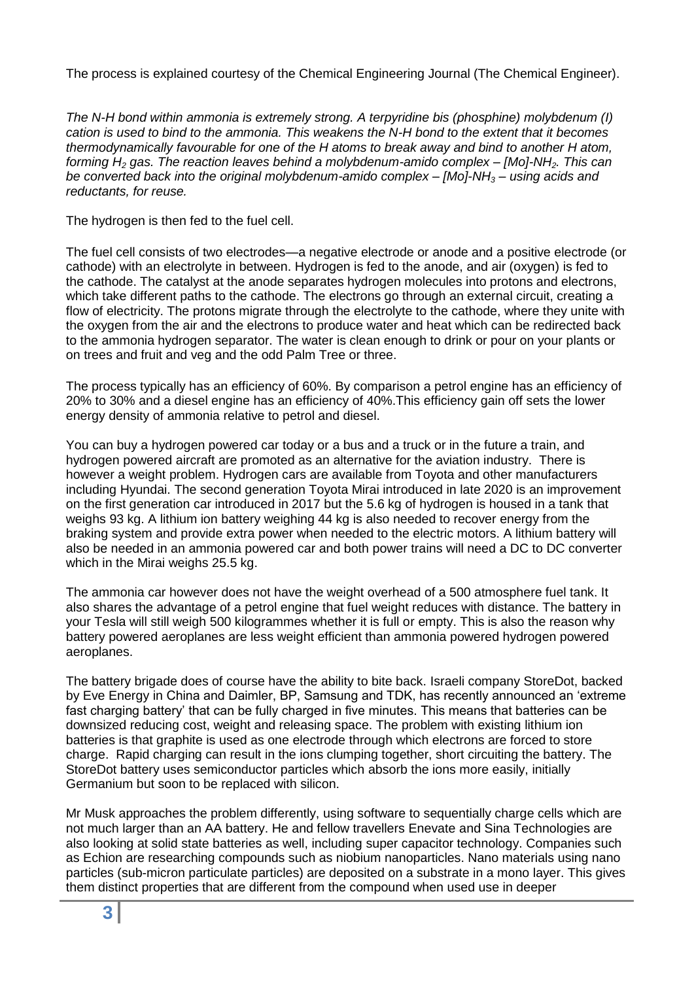The process is explained courtesy of the Chemical Engineering Journal (The Chemical Engineer).

*The N-H bond within ammonia is extremely strong. A terpyridine bis (phosphine) molybdenum (I) cation is used to bind to the ammonia. This weakens the N-H bond to the extent that it becomes thermodynamically favourable for one of the H atoms to break away and bind to another H atom, forming H<sup>2</sup> gas. The reaction leaves behind a molybdenum-amido complex – [Mo]-NH2. This can be converted back into the original molybdenum-amido complex – [Mo]-NH<sup>3</sup> – using acids and reductants, for reuse.*

The hydrogen is then fed to the fuel cell.

The fuel cell consists of two electrodes—a negative electrode or anode and a positive electrode (or cathode) with an electrolyte in between. Hydrogen is fed to the anode, and air (oxygen) is fed to the cathode. The catalyst at the anode separates hydrogen molecules into protons and electrons, which take different paths to the cathode. The electrons go through an external circuit, creating a flow of electricity. The protons migrate through the electrolyte to the cathode, where they unite with the oxygen from the air and the electrons to produce water and heat which can be redirected back to the ammonia hydrogen separator. The water is clean enough to drink or pour on your plants or on trees and fruit and veg and the odd Palm Tree or three.

The process typically has an efficiency of 60%. By comparison a petrol engine has an efficiency of 20% to 30% and a diesel engine has an efficiency of 40%.This efficiency gain off sets the lower energy density of ammonia relative to petrol and diesel.

You can buy a hydrogen powered car today or a bus and a truck or in the future a train, and hydrogen powered aircraft are promoted as an alternative for the aviation industry. There is however a weight problem. Hydrogen cars are available from Toyota and other manufacturers including Hyundai. The second generation Toyota Mirai introduced in late 2020 is an improvement on the first generation car introduced in 2017 but the 5.6 kg of hydrogen is housed in a tank that weighs 93 kg. A lithium ion battery weighing 44 kg is also needed to recover energy from the braking system and provide extra power when needed to the electric motors. A lithium battery will also be needed in an ammonia powered car and both power trains will need a DC to DC converter which in the Mirai weighs 25.5 kg.

The ammonia car however does not have the weight overhead of a 500 atmosphere fuel tank. It also shares the advantage of a petrol engine that fuel weight reduces with distance. The battery in your Tesla will still weigh 500 kilogrammes whether it is full or empty. This is also the reason why battery powered aeroplanes are less weight efficient than ammonia powered hydrogen powered aeroplanes.

The battery brigade does of course have the ability to bite back. Israeli company StoreDot, backed by Eve Energy in China and Daimler, BP, Samsung and TDK, has recently announced an 'extreme fast charging battery' that can be fully charged in five minutes. This means that batteries can be downsized reducing cost, weight and releasing space. The problem with existing lithium ion batteries is that graphite is used as one electrode through which electrons are forced to store charge. Rapid charging can result in the ions clumping together, short circuiting the battery. The StoreDot battery uses semiconductor particles which absorb the ions more easily, initially Germanium but soon to be replaced with silicon.

Mr Musk approaches the problem differently, using software to sequentially charge cells which are not much larger than an AA battery. He and fellow travellers Enevate and Sina Technologies are also looking at solid state batteries as well, including super capacitor technology. Companies such as Echion are researching compounds such as niobium nanoparticles. Nano materials using nano particles (sub-micron particulate particles) are deposited on a substrate in a mono layer. This gives them distinct properties that are different from the compound when used use in deeper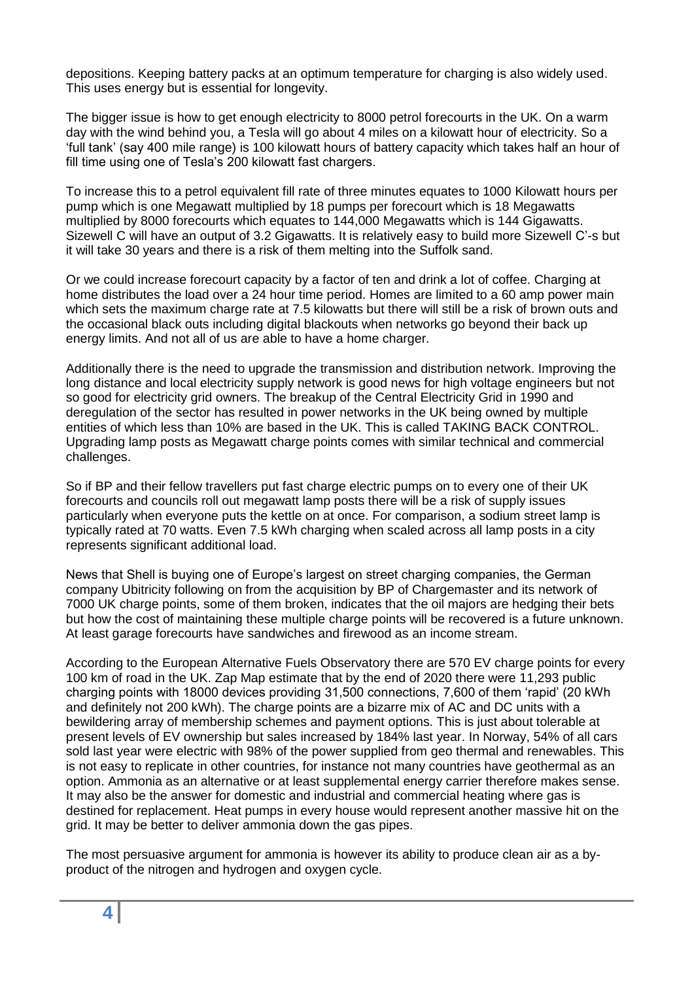depositions. Keeping battery packs at an optimum temperature for charging is also widely used. This uses energy but is essential for longevity.

The bigger issue is how to get enough electricity to 8000 petrol forecourts in the UK. On a warm day with the wind behind you, a Tesla will go about 4 miles on a kilowatt hour of electricity. So a 'full tank' (say 400 mile range) is 100 kilowatt hours of battery capacity which takes half an hour of fill time using one of Tesla's 200 kilowatt fast chargers.

To increase this to a petrol equivalent fill rate of three minutes equates to 1000 Kilowatt hours per pump which is one Megawatt multiplied by 18 pumps per forecourt which is 18 Megawatts multiplied by 8000 forecourts which equates to 144,000 Megawatts which is 144 Gigawatts. Sizewell C will have an output of 3.2 Gigawatts. It is relatively easy to build more Sizewell C'-s but it will take 30 years and there is a risk of them melting into the Suffolk sand.

Or we could increase forecourt capacity by a factor of ten and drink a lot of coffee. Charging at home distributes the load over a 24 hour time period. Homes are limited to a 60 amp power main which sets the maximum charge rate at 7.5 kilowatts but there will still be a risk of brown outs and the occasional black outs including digital blackouts when networks go beyond their back up energy limits. And not all of us are able to have a home charger.

Additionally there is the need to upgrade the transmission and distribution network. Improving the long distance and local electricity supply network is good news for high voltage engineers but not so good for electricity grid owners. The breakup of the Central Electricity Grid in 1990 and deregulation of the sector has resulted in power networks in the UK being owned by multiple entities of which less than 10% are based in the UK. This is called TAKING BACK CONTROL. Upgrading lamp posts as Megawatt charge points comes with similar technical and commercial challenges.

So if BP and their fellow travellers put fast charge electric pumps on to every one of their UK forecourts and councils roll out megawatt lamp posts there will be a risk of supply issues particularly when everyone puts the kettle on at once. For comparison, a sodium street lamp is typically rated at 70 watts. Even 7.5 kWh charging when scaled across all lamp posts in a city represents significant additional load.

News that Shell is buying one of Europe's largest on street charging companies, the German company Ubitricity following on from the acquisition by BP of Chargemaster and its network of 7000 UK charge points, some of them broken, indicates that the oil majors are hedging their bets but how the cost of maintaining these multiple charge points will be recovered is a future unknown. At least garage forecourts have sandwiches and firewood as an income stream.

According to the European Alternative Fuels Observatory there are 570 EV charge points for every 100 km of road in the UK. Zap Map estimate that by the end of 2020 there were 11,293 public charging points with 18000 devices providing 31,500 connections, 7,600 of them 'rapid' (20 kWh and definitely not 200 kWh). The charge points are a bizarre mix of AC and DC units with a bewildering array of membership schemes and payment options. This is just about tolerable at present levels of EV ownership but sales increased by 184% last year. In Norway, 54% of all cars sold last year were electric with 98% of the power supplied from geo thermal and renewables. This is not easy to replicate in other countries, for instance not many countries have geothermal as an option. Ammonia as an alternative or at least supplemental energy carrier therefore makes sense. It may also be the answer for domestic and industrial and commercial heating where gas is destined for replacement. Heat pumps in every house would represent another massive hit on the grid. It may be better to deliver ammonia down the gas pipes.

The most persuasive argument for ammonia is however its ability to produce clean air as a byproduct of the nitrogen and hydrogen and oxygen cycle.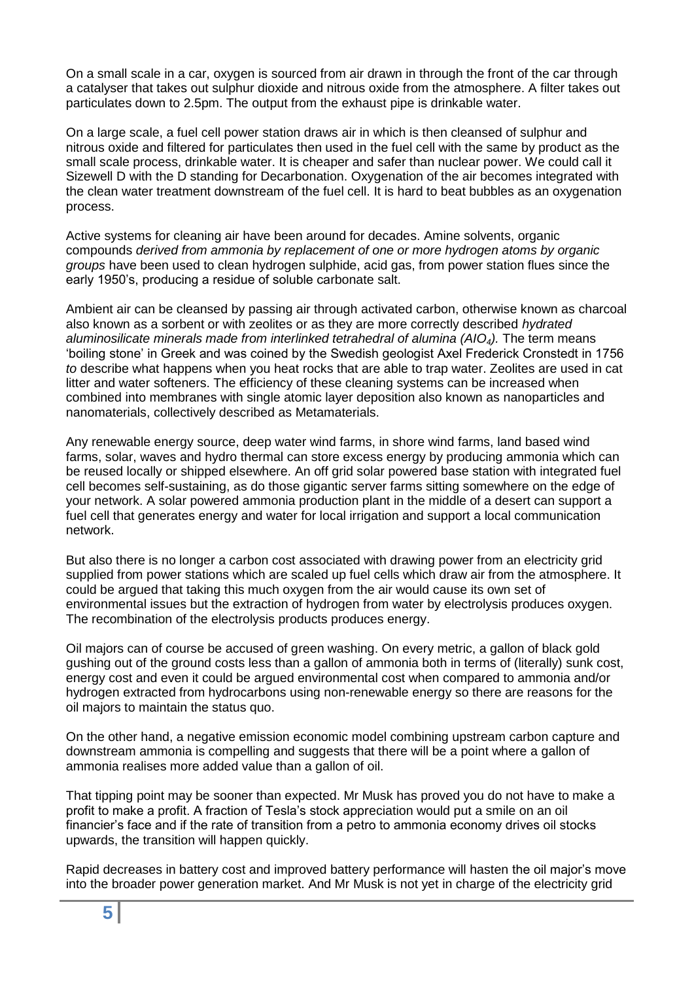On a small scale in a car, oxygen is sourced from air drawn in through the front of the car through a catalyser that takes out sulphur dioxide and nitrous oxide from the atmosphere. A filter takes out particulates down to 2.5pm. The output from the exhaust pipe is drinkable water.

On a large scale, a fuel cell power station draws air in which is then cleansed of sulphur and nitrous oxide and filtered for particulates then used in the fuel cell with the same by product as the small scale process, drinkable water. It is cheaper and safer than nuclear power. We could call it Sizewell D with the D standing for Decarbonation. Oxygenation of the air becomes integrated with the clean water treatment downstream of the fuel cell. It is hard to beat bubbles as an oxygenation process.

Active systems for cleaning air have been around for decades. Amine solvents, organic compounds *derived from ammonia by replacement of one or more hydrogen atoms by organic groups* have been used to clean hydrogen sulphide, acid gas, from power station flues since the early 1950's, producing a residue of soluble carbonate salt.

Ambient air can be cleansed by passing air through activated carbon, otherwise known as charcoal also known as a sorbent or with zeolites or as they are more correctly described *hydrated aluminosilicate minerals made from interlinked tetrahedral of alumina (AIO4).* The term means 'boiling stone' in Greek and was coined by the Swedish geologist Axel Frederick Cronstedt in 1756 *to* describe what happens when you heat rocks that are able to trap water. Zeolites are used in cat litter and water softeners. The efficiency of these cleaning systems can be increased when combined into membranes with single atomic layer deposition also known as nanoparticles and nanomaterials, collectively described as Metamaterials.

Any renewable energy source, deep water wind farms, in shore wind farms, land based wind farms, solar, waves and hydro thermal can store excess energy by producing ammonia which can be reused locally or shipped elsewhere. An off grid solar powered base station with integrated fuel cell becomes self-sustaining, as do those gigantic server farms sitting somewhere on the edge of your network. A solar powered ammonia production plant in the middle of a desert can support a fuel cell that generates energy and water for local irrigation and support a local communication network.

But also there is no longer a carbon cost associated with drawing power from an electricity grid supplied from power stations which are scaled up fuel cells which draw air from the atmosphere. It could be argued that taking this much oxygen from the air would cause its own set of environmental issues but the extraction of hydrogen from water by electrolysis produces oxygen. The recombination of the electrolysis products produces energy.

Oil majors can of course be accused of green washing. On every metric, a gallon of black gold gushing out of the ground costs less than a gallon of ammonia both in terms of (literally) sunk cost, energy cost and even it could be argued environmental cost when compared to ammonia and/or hydrogen extracted from hydrocarbons using non-renewable energy so there are reasons for the oil majors to maintain the status quo.

On the other hand, a negative emission economic model combining upstream carbon capture and downstream ammonia is compelling and suggests that there will be a point where a gallon of ammonia realises more added value than a gallon of oil.

That tipping point may be sooner than expected. Mr Musk has proved you do not have to make a profit to make a profit. A fraction of Tesla's stock appreciation would put a smile on an oil financier's face and if the rate of transition from a petro to ammonia economy drives oil stocks upwards, the transition will happen quickly.

Rapid decreases in battery cost and improved battery performance will hasten the oil major's move into the broader power generation market. And Mr Musk is not yet in charge of the electricity grid